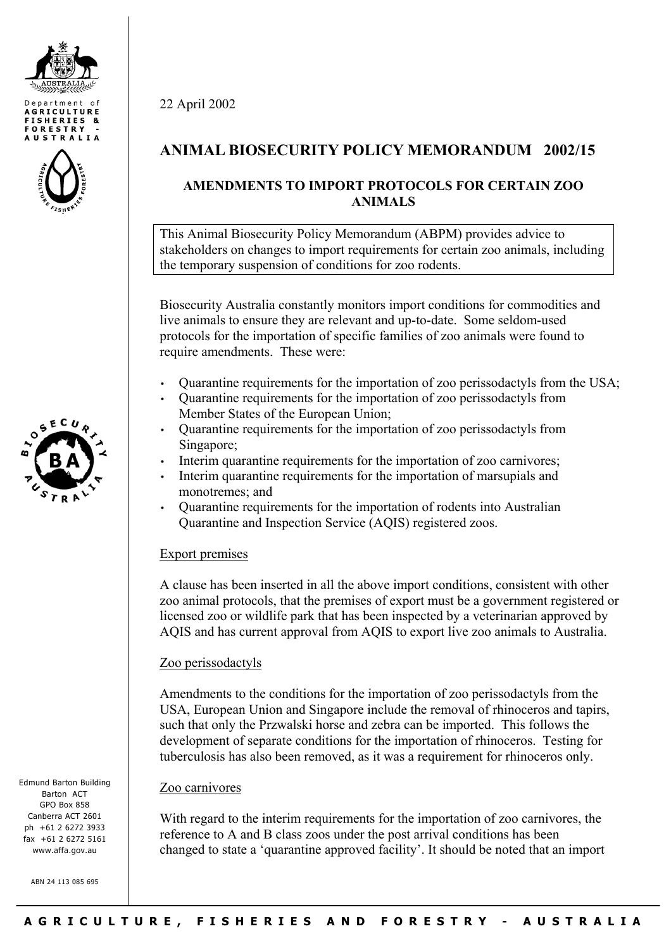





Edmund Barton Building Barton ACT GPO Box 858 Canberra ACT 2601 ph +61 2 6272 3933 fax +61 2 6272 5161 www.affa.gov.au

ABN 24 113 085 695

22 April 2002

# **ANIMAL BIOSECURITY POLICY MEMORANDUM 2002/15**

## **AMENDMENTS TO IMPORT PROTOCOLS FOR CERTAIN ZOO ANIMALS**

This Animal Biosecurity Policy Memorandum (ABPM) provides advice to stakeholders on changes to import requirements for certain zoo animals, including the temporary suspension of conditions for zoo rodents.

Biosecurity Australia constantly monitors import conditions for commodities and live animals to ensure they are relevant and up-to-date. Some seldom-used protocols for the importation of specific families of zoo animals were found to require amendments. These were:

- Quarantine requirements for the importation of zoo perissodactyls from the USA;
- Quarantine requirements for the importation of zoo perissodactyls from Member States of the European Union;
- Quarantine requirements for the importation of zoo perissodactyls from Singapore;
- Interim quarantine requirements for the importation of zoo carnivores;
- Interim quarantine requirements for the importation of marsupials and monotremes; and
- Quarantine requirements for the importation of rodents into Australian Quarantine and Inspection Service (AQIS) registered zoos.

## Export premises

A clause has been inserted in all the above import conditions, consistent with other zoo animal protocols, that the premises of export must be a government registered or licensed zoo or wildlife park that has been inspected by a veterinarian approved by AQIS and has current approval from AQIS to export live zoo animals to Australia.

## Zoo perissodactyls

Amendments to the conditions for the importation of zoo perissodactyls from the USA, European Union and Singapore include the removal of rhinoceros and tapirs, such that only the Przwalski horse and zebra can be imported. This follows the development of separate conditions for the importation of rhinoceros. Testing for tuberculosis has also been removed, as it was a requirement for rhinoceros only.

## Zoo carnivores

With regard to the interim requirements for the importation of zoo carnivores, the reference to A and B class zoos under the post arrival conditions has been changed to state a 'quarantine approved facility'. It should be noted that an import